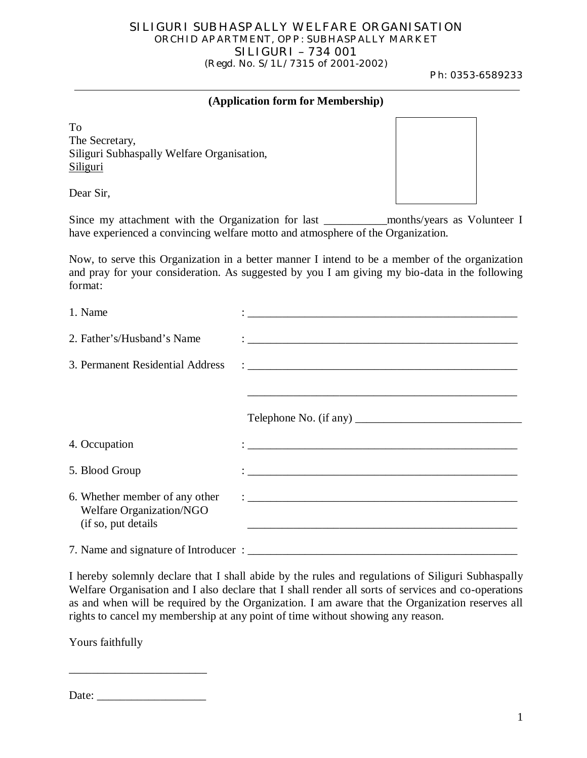## SILIGURI SUBHASPALLY WELFARE ORGANISATION ORCHID APARTMENT, OPP: SUBHASPALLY MARKET SILIGURI – 734 001 (Regd. No. S/1L/7315 of 2001-2002)

Ph: 0353-6589233

## **(Application form for Membership)**

To The Secretary, Siliguri Subhaspally Welfare Organisation, **Siliguri** 

Dear Sir,

Since my attachment with the Organization for last \_\_\_\_\_\_\_\_\_\_\_months/years as Volunteer I have experienced a convincing welfare motto and atmosphere of the Organization.

Now, to serve this Organization in a better manner I intend to be a member of the organization and pray for your consideration. As suggested by you I am giving my bio-data in the following format:

| 1. Name                                                                           |                                                                                                                                                                                                                                     |
|-----------------------------------------------------------------------------------|-------------------------------------------------------------------------------------------------------------------------------------------------------------------------------------------------------------------------------------|
| 2. Father's/Husband's Name                                                        |                                                                                                                                                                                                                                     |
| 3. Permanent Residential Address                                                  | $\ddot{\cdot}$ . The contraction of the contract of the contract of the contract of the contract of the contract of the contract of the contract of the contract of the contract of the contract of the contract of the contract of |
|                                                                                   |                                                                                                                                                                                                                                     |
|                                                                                   | Telephone No. (if any)                                                                                                                                                                                                              |
| 4. Occupation                                                                     |                                                                                                                                                                                                                                     |
| 5. Blood Group                                                                    |                                                                                                                                                                                                                                     |
| 6. Whether member of any other<br>Welfare Organization/NGO<br>(if so, put details |                                                                                                                                                                                                                                     |
| 7. Name and signature of Introducer:                                              |                                                                                                                                                                                                                                     |

I hereby solemnly declare that I shall abide by the rules and regulations of Siliguri Subhaspally Welfare Organisation and I also declare that I shall render all sorts of services and co-operations as and when will be required by the Organization. I am aware that the Organization reserves all rights to cancel my membership at any point of time without showing any reason.

Yours faithfully

| Date: |  |
|-------|--|
|-------|--|

\_\_\_\_\_\_\_\_\_\_\_\_\_\_\_\_\_\_\_\_\_\_\_\_